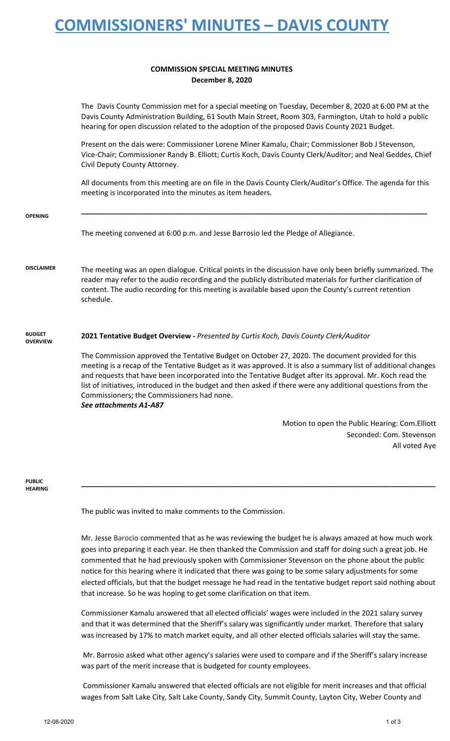# **COMMISSIONERS' MINUTES – DAVIS COUNTY**

#### **COMMISSION SPECIAL MEETING MINUTES December 8, 2020**

The Davis County Commission met for a special meeting on Tuesday, December 8, 2020 at 6:00 PM at the Davis County Administration Building, 61 South Main Street, Room 303, Farmington, Utah to hold a public hearing for open discussion related to the adoption of the proposed Davis County 2021 Budget.

Present on the dais were: Commissioner Lorene Miner Kamalu, Chair; Commissioner Bob J Stevenson, Vice-Chair; Commissioner Randy B. Elliott; Curtis Koch, Davis County Clerk/Auditor; and Neal Geddes, Chief Civil Deputy County Attorney.

All documents from this meeting are on file in the Davis County Clerk/Auditor's Office. The agenda for this meeting is incorporated into the minutes as item headers.

| <b>OPENING</b>                   |                                                                                                                                                                                                                                                                                                                                                                                                                                                                                                                                                                                                                 |
|----------------------------------|-----------------------------------------------------------------------------------------------------------------------------------------------------------------------------------------------------------------------------------------------------------------------------------------------------------------------------------------------------------------------------------------------------------------------------------------------------------------------------------------------------------------------------------------------------------------------------------------------------------------|
|                                  | The meeting convened at 6:00 p.m. and Jesse Barrosio led the Pledge of Allegiance.                                                                                                                                                                                                                                                                                                                                                                                                                                                                                                                              |
| <b>DISCLAIMER</b>                | The meeting was an open dialogue. Critical points in the discussion have only been briefly summarized. The<br>reader may refer to the audio recording and the publicly distributed materials for further clarification of<br>content. The audio recording for this meeting is available based upon the County's current retention<br>schedule.                                                                                                                                                                                                                                                                  |
| <b>BUDGET</b><br><b>OVERVIEW</b> | 2021 Tentative Budget Overview - Presented by Curtis Koch, Davis County Clerk/Auditor<br>The Commission approved the Tentative Budget on October 27, 2020. The document provided for this<br>meeting is a recap of the Tentative Budget as it was approved. It is also a summary list of additional changes<br>and requests that have been incorporated into the Tentative Budget after its approval. Mr. Koch read the<br>list of initiatives, introduced in the budget and then asked if there were any additional questions from the<br>Commissioners; the Commissioners had none.<br>See attachments A1-A87 |
|                                  | Motion to open the Public Hearing: Com.Elliott                                                                                                                                                                                                                                                                                                                                                                                                                                                                                                                                                                  |
|                                  | Seconded: Com. Stevenson                                                                                                                                                                                                                                                                                                                                                                                                                                                                                                                                                                                        |

### **PUBLIC**

**HEARING**

The public was invited to make comments to the Commission.

Mr. Jesse Barocio commented that as he was reviewing the budget he is always amazed at how much work goes into preparing it each year. He then thanked the Commission and staff for doing such a great job. He commented that he had previously spoken with Commissioner Stevenson on the phone about the public notice for this hearing where it indicated that there was going to be some salary adjustments for some elected officials, but that the budget message he had read in the tentative budget report said nothing about that increase. So he was hoping to get some clarification on that item.

**\_\_\_\_\_\_\_\_\_\_\_\_\_\_\_\_\_\_\_\_\_\_\_\_\_\_\_\_\_\_\_\_\_\_\_\_\_\_\_\_\_\_\_\_\_\_\_\_\_\_\_\_\_\_\_\_\_\_\_\_\_\_\_\_\_\_\_\_\_\_\_\_\_\_\_\_\_\_\_\_\_\_\_\_\_\_\_\_**

Commissioner Kamalu answered that all elected officials' wages were included in the 2021 salary survey and that it was determined that the Sheriff's salary was significantly under market. Therefore that salary was increased by 17% to match market equity, and all other elected officials salaries will stay the same.

Mr. Barrosio asked what other agency's salaries were used to compare and if the Sheriff's salary increase was part of the merit increase that is budgeted for county employees.

Commissioner Kamalu answered that elected officials are not eligible for merit increases and that official wages from Salt Lake City, Salt Lake County, Sandy City, Summit County, Layton City, Weber County and

All voted Aye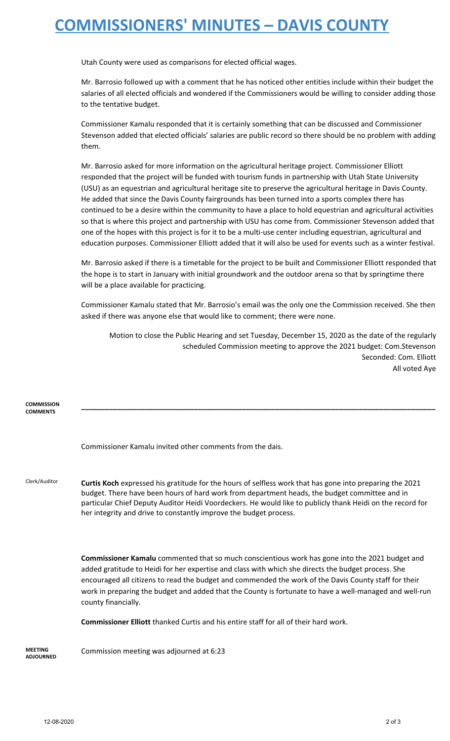### **COMMISSIONERS' MINUTES – DAVIS COUNTY**

Utah County were used as comparisons for elected official wages.

Mr. Barrosio followed up with a comment that he has noticed other entities include within their budget the salaries of all elected officials and wondered if the Commissioners would be willing to consider adding those to the tentative budget.

Commissioner Kamalu responded that it is certainly something that can be discussed and Commissioner Stevenson added that elected officials' salaries are public record so there should be no problem with adding them.

Mr. Barrosio asked for more information on the agricultural heritage project. Commissioner Elliott responded that the project will be funded with tourism funds in partnership with Utah State University (USU) as an equestrian and agricultural heritage site to preserve the agricultural heritage in Davis County. He added that since the Davis County fairgrounds has been turned into a sports complex there has continued to be a desire within the community to have a place to hold equestrian and agricultural activities so that is where this project and partnership with USU has come from. Commissioner Stevenson added that one of the hopes with this project is for it to be a multi-use center including equestrian, agricultural and education purposes. Commissioner Elliott added that it will also be used for events such as a winter festival.

Mr. Barrosio asked if there is a timetable for the project to be built and Commissioner Elliott responded that the hope is to start in January with initial groundwork and the outdoor arena so that by springtime there will be a place available for practicing.

Commissioner Kamalu stated that Mr. Barrosio's email was the only one the Commission received. She then asked if there was anyone else that would like to comment; there were none.

Motion to close the Public Hearing and set Tuesday, December 15, 2020 as the date of the regularly scheduled Commission meeting to approve the 2021 budget: Com.Stevenson Seconded: Com. Elliott All voted Aye

| <b>COMMISSION</b><br><b>COMMENTS</b> |                                                                                                                                                                                                                                                                                                                                                                                                                                                          |
|--------------------------------------|----------------------------------------------------------------------------------------------------------------------------------------------------------------------------------------------------------------------------------------------------------------------------------------------------------------------------------------------------------------------------------------------------------------------------------------------------------|
|                                      | Commissioner Kamalu invited other comments from the dais.                                                                                                                                                                                                                                                                                                                                                                                                |
| Clerk/Auditor                        | Curtis Koch expressed his gratitude for the hours of selfless work that has gone into preparing the 2021<br>budget. There have been hours of hard work from department heads, the budget committee and in<br>particular Chief Deputy Auditor Heidi Voordeckers. He would like to publicly thank Heidi on the record for<br>her integrity and drive to constantly improve the budget process.                                                             |
|                                      | <b>Commissioner Kamalu</b> commented that so much conscientious work has gone into the 2021 budget and<br>added gratitude to Heidi for her expertise and class with which she directs the budget process. She<br>encouraged all citizens to read the budget and commended the work of the Davis County staff for their<br>work in preparing the budget and added that the County is fortunate to have a well-managed and well-run<br>county financially. |
|                                      | <b>Commissioner Elliott</b> thanked Curtis and his entire staff for all of their hard work.                                                                                                                                                                                                                                                                                                                                                              |
| MEETING<br><b>ADJOURNED</b>          | Commission meeting was adjourned at 6:23                                                                                                                                                                                                                                                                                                                                                                                                                 |